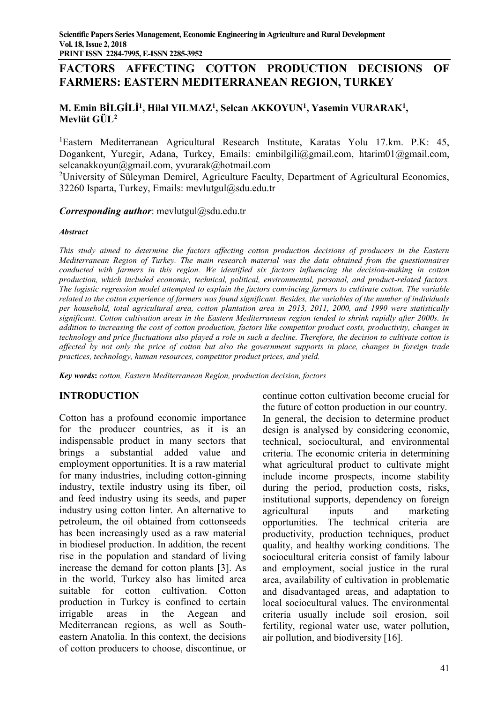# **FACTORS AFFECTING COTTON PRODUCTION DECISIONS OF FARMERS: EASTERN MEDITERRANEAN REGION, TURKEY**

# **M. Emin BİLGİLİ<sup>1</sup> , Hilal YILMAZ<sup>1</sup> , Selcan AKKOYUN<sup>1</sup> , Yasemin VURARAK<sup>1</sup> , Mevlüt GÜL<sup>2</sup>**

<sup>1</sup>Eastern Mediterranean Agricultural Research Institute, Karatas Yolu 17.km. P.K: 45, Dogankent, Yuregir, Adana, Turkey, Emails: eminbilgili@gmail.com, htarim01@gmail.com, selcanakkoyun@gmail.com, yvurarak@hotmail.com

<sup>2</sup>University of Süleyman Demirel, Agriculture Faculty, Department of Agricultural Economics, 32260 Isparta, Turkey, Emails: mevlutgul@sdu.edu.tr

*Corresponding author*: mevlutgul@sdu.edu.tr

#### *Abstract*

*This study aimed to determine the factors affecting cotton production decisions of producers in the Eastern Mediterranean Region of Turkey. The main research material was the data obtained from the questionnaires conducted with farmers in this region. We identified six factors influencing the decision-making in cotton production, which included economic, technical, political, environmental, personal, and product-related factors. The logistic regression model attempted to explain the factors convincing farmers to cultivate cotton. The variable related to the cotton experience of farmers was found significant. Besides, the variables of the number of individuals per household, total agricultural area, cotton plantation area in 2013, 2011, 2000, and 1990 were statistically significant. Cotton cultivation areas in the Eastern Mediterranean region tended to shrink rapidly after 2000s. In addition to increasing the cost of cotton production, factors like competitor product costs, productivity, changes in technology and price fluctuations also played a role in such a decline. Therefore, the decision to cultivate cotton is affected by not only the price of cotton but also the government supports in place, changes in foreign trade practices, technology, human resources, competitor product prices, and yield.*

*Key words***:** *cotton, Eastern Mediterranean Region, production decision, factors*

## **INTRODUCTION**

Cotton has a profound economic importance for the producer countries, as it is an indispensable product in many sectors that brings a substantial added value and employment opportunities. It is a raw material for many industries, including cotton-ginning industry, textile industry using its fiber, oil and feed industry using its seeds, and paper industry using cotton linter. An alternative to petroleum, the oil obtained from cottonseeds has been increasingly used as a raw material in biodiesel production. In addition, the recent rise in the population and standard of living increase the demand for cotton plants [3]. As in the world, Turkey also has limited area suitable for cotton cultivation. Cotton production in Turkey is confined to certain irrigable areas in the Aegean and Mediterranean regions, as well as Southeastern Anatolia. In this context, the decisions of cotton producers to choose, discontinue, or continue cotton cultivation become crucial for the future of cotton production in our country. In general, the decision to determine product design is analysed by considering economic, technical, sociocultural, and environmental criteria. The economic criteria in determining what agricultural product to cultivate might include income prospects, income stability during the period, production costs, risks, institutional supports, dependency on foreign agricultural inputs and marketing opportunities. The technical criteria are productivity, production techniques, product quality, and healthy working conditions. The sociocultural criteria consist of family labour and employment, social justice in the rural area, availability of cultivation in problematic and disadvantaged areas, and adaptation to local sociocultural values. The environmental criteria usually include soil erosion, soil fertility, regional water use, water pollution, air pollution, and biodiversity [16].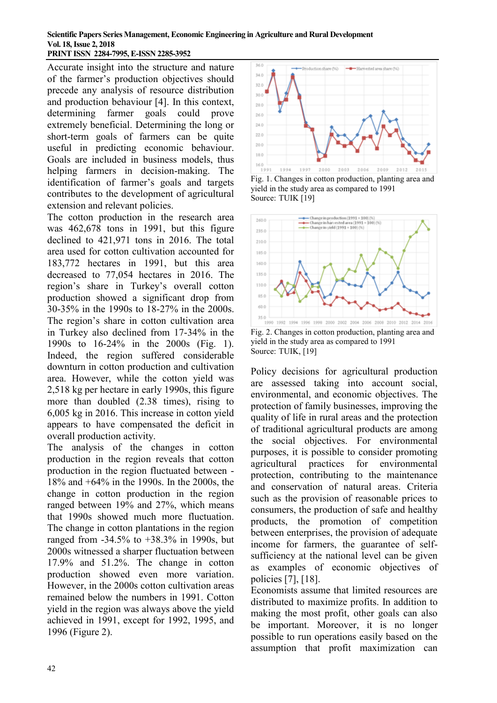#### **Scientific Papers Series Management, Economic Engineering in Agriculture and Rural Development Vol. 18, Issue 2, 2018 PRINT ISSN 2284-7995, E-ISSN 2285-3952**

Accurate insight into the structure and nature of the farmer's production objectives should precede any analysis of resource distribution and production behaviour [4]. In this context,<br>determining farmer goals could prove determining farmer goals could prove extremely beneficial. Determining the long or short-term goals of farmers can be quite useful in predicting economic behaviour. Goals are included in business models, thus helping farmers in decision-making. The identification of farmer's goals and targets contributes to the development of agricultural extension and relevant policies.

The cotton production in the research area was 462,678 tons in 1991, but this figure declined to 421,971 tons in 2016. The total area used for cotton cultivation accounted for 183,772 hectares in 1991, but this area decreased to 77,054 hectares in 2016. The region's share in Turkey's overall cotton production showed a significant drop from 30-35% in the 1990s to 18-27% in the 2000s. The region's share in cotton cultivation area in Turkey also declined from 17-34% in the 1990s to 16-24% in the 2000s (Fig. 1). Indeed, the region suffered considerable downturn in cotton production and cultivation area. However, while the cotton yield was 2,518 kg per hectare in early 1990s, this figure more than doubled (2.38 times), rising to 6,005 kg in 2016. This increase in cotton yield appears to have compensated the deficit in overall production activity.

The analysis of the changes in cotton production in the region reveals that cotton production in the region fluctuated between - 18% and +64% in the 1990s. In the 2000s, the change in cotton production in the region ranged between 19% and 27%, which means that 1990s showed much more fluctuation. The change in cotton plantations in the region ranged from -34.5% to +38.3% in 1990s, but 2000s witnessed a sharper fluctuation between 17.9% and 51.2%. The change in cotton production showed even more variation. However, in the 2000s cotton cultivation areas remained below the numbers in 1991. Cotton yield in the region was always above the yield achieved in 1991, except for 1992, 1995, and 1996 (Figure 2).



Fig. 1. Changes in cotton production, planting area and yield in the study area as compared to 1991 Source: TUIK [19]



Fig. 2. Changes in cotton production, planting area and yield in the study area as compared to 1991 Source: TUIK, [19]

Policy decisions for agricultural production are assessed taking into account social, environmental, and economic objectives. The protection of family businesses, improving the quality of life in rural areas and the protection of traditional agricultural products are among the social objectives. For environmental purposes, it is possible to consider promoting agricultural practices for environmental protection, contributing to the maintenance and conservation of natural areas. Criteria such as the provision of reasonable prices to consumers, the production of safe and healthy products, the promotion of competition between enterprises, the provision of adequate income for farmers, the guarantee of selfsufficiency at the national level can be given as examples of economic objectives of policies [7], [18].

Economists assume that limited resources are distributed to maximize profits. In addition to making the most profit, other goals can also be important. Moreover, it is no longer possible to run operations easily based on the assumption that profit maximization can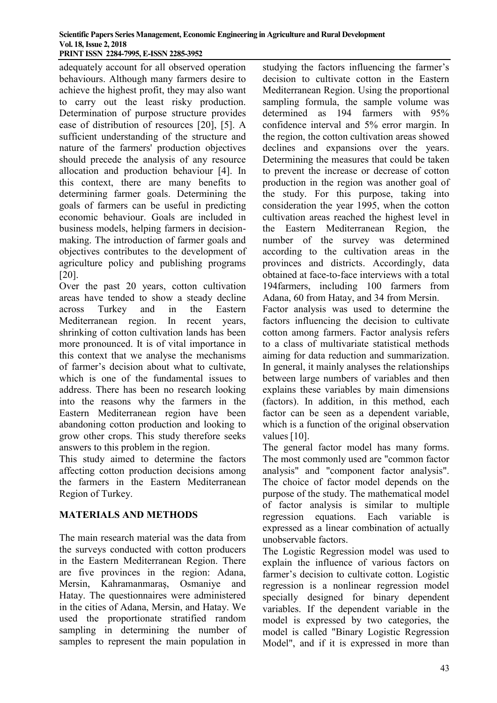adequately account for all observed operation behaviours. Although many farmers desire to achieve the highest profit, they may also want to carry out the least risky production. Determination of purpose structure provides ease of distribution of resources [20], [5]. A sufficient understanding of the structure and nature of the farmers' production objectives should precede the analysis of any resource allocation and production behaviour [4]. In this context, there are many benefits to determining farmer goals. Determining the goals of farmers can be useful in predicting economic behaviour. Goals are included in business models, helping farmers in decisionmaking. The introduction of farmer goals and objectives contributes to the development of agriculture policy and publishing programs [20].

Over the past 20 years, cotton cultivation areas have tended to show a steady decline across Turkey and in the Eastern Mediterranean region. In recent years, shrinking of cotton cultivation lands has been more pronounced. It is of vital importance in this context that we analyse the mechanisms of farmer's decision about what to cultivate, which is one of the fundamental issues to address. There has been no research looking into the reasons why the farmers in the Eastern Mediterranean region have been abandoning cotton production and looking to grow other crops. This study therefore seeks answers to this problem in the region.

This study aimed to determine the factors affecting cotton production decisions among the farmers in the Eastern Mediterranean Region of Turkey.

## **MATERIALS AND METHODS**

The main research material was the data from the surveys conducted with cotton producers in the Eastern Mediterranean Region. There are five provinces in the region: Adana, Mersin, Kahramanmaraş, Osmaniye and Hatay. The questionnaires were administered in the cities of Adana, Mersin, and Hatay. We used the proportionate stratified random sampling in determining the number of samples to represent the main population in

studying the factors influencing the farmer's decision to cultivate cotton in the Eastern Mediterranean Region. Using the proportional sampling formula, the sample volume was determined as 194 farmers with 95% confidence interval and 5% error margin. In the region, the cotton cultivation areas showed declines and expansions over the years. Determining the measures that could be taken to prevent the increase or decrease of cotton production in the region was another goal of the study. For this purpose, taking into consideration the year 1995, when the cotton cultivation areas reached the highest level in the Eastern Mediterranean Region, the number of the survey was determined according to the cultivation areas in the provinces and districts. Accordingly, data obtained at face-to-face interviews with a total 194farmers, including 100 farmers from Adana, 60 from Hatay, and 34 from Mersin. Factor analysis was used to determine the factors influencing the decision to cultivate cotton among farmers. Factor analysis refers to a class of multivariate statistical methods aiming for data reduction and summarization. In general, it mainly analyses the relationships between large numbers of variables and then explains these variables by main dimensions (factors). In addition, in this method, each factor can be seen as a dependent variable, which is a function of the original observation values [10].

The general factor model has many forms. The most commonly used are "common factor analysis" and "component factor analysis". The choice of factor model depends on the purpose of the study. The mathematical model of factor analysis is similar to multiple regression equations. Each variable is expressed as a linear combination of actually unobservable factors.

The Logistic Regression model was used to explain the influence of various factors on farmer's decision to cultivate cotton. Logistic regression is a nonlinear regression model specially designed for binary dependent variables. If the dependent variable in the model is expressed by two categories, the model is called "Binary Logistic Regression Model", and if it is expressed in more than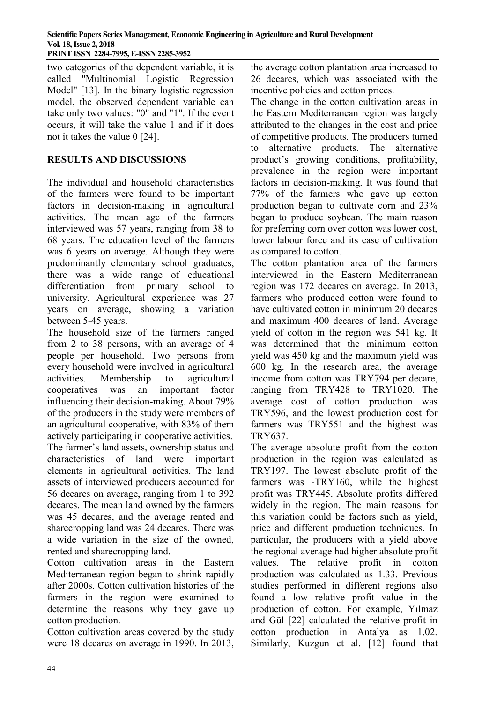two categories of the dependent variable, it is called "Multinomial Logistic Regression Model" [13]. In the binary logistic regression model, the observed dependent variable can take only two values: "0" and "1". If the event occurs, it will take the value 1 and if it does not it takes the value 0 [24].

# **RESULTS AND DISCUSSIONS**

The individual and household characteristics of the farmers were found to be important factors in decision-making in agricultural activities. The mean age of the farmers interviewed was 57 years, ranging from 38 to 68 years. The education level of the farmers was 6 years on average. Although they were predominantly elementary school graduates, there was a wide range of educational differentiation from primary school to university. Agricultural experience was 27 years on average, showing a variation between 5-45 years.

The household size of the farmers ranged from 2 to 38 persons, with an average of 4 people per household. Two persons from every household were involved in agricultural activities. Membership to agricultural cooperatives was an important factor influencing their decision-making. About 79% of the producers in the study were members of an agricultural cooperative, with 83% of them actively participating in cooperative activities. The farmer's land assets, ownership status and characteristics of land were important elements in agricultural activities. The land assets of interviewed producers accounted for 56 decares on average, ranging from 1 to 392 decares. The mean land owned by the farmers was 45 decares, and the average rented and sharecropping land was 24 decares. There was a wide variation in the size of the owned, rented and sharecropping land.

Cotton cultivation areas in the Eastern Mediterranean region began to shrink rapidly after 2000s. Cotton cultivation histories of the farmers in the region were examined to determine the reasons why they gave up cotton production.

Cotton cultivation areas covered by the study were 18 decares on average in 1990. In 2013, the average cotton plantation area increased to 26 decares, which was associated with the incentive policies and cotton prices.

The change in the cotton cultivation areas in the Eastern Mediterranean region was largely attributed to the changes in the cost and price of competitive products. The producers turned to alternative products. The alternative product's growing conditions, profitability, prevalence in the region were important factors in decision-making. It was found that 77% of the farmers who gave up cotton production began to cultivate corn and 23% began to produce soybean. The main reason for preferring corn over cotton was lower cost, lower labour force and its ease of cultivation as compared to cotton.

The cotton plantation area of the farmers interviewed in the Eastern Mediterranean region was 172 decares on average. In 2013, farmers who produced cotton were found to have cultivated cotton in minimum 20 decares and maximum 400 decares of land. Average yield of cotton in the region was 541 kg. It was determined that the minimum cotton yield was 450 kg and the maximum yield was 600 kg. In the research area, the average income from cotton was TRY794 per decare, ranging from TRY428 to TRY1020. The average cost of cotton production was TRY596, and the lowest production cost for farmers was TRY551 and the highest was TRY637.

The average absolute profit from the cotton production in the region was calculated as TRY197. The lowest absolute profit of the farmers was -TRY160, while the highest profit was TRY445. Absolute profits differed widely in the region. The main reasons for this variation could be factors such as yield, price and different production techniques. In particular, the producers with a yield above the regional average had higher absolute profit values. The relative profit in cotton production was calculated as 1.33. Previous studies performed in different regions also found a low relative profit value in the production of cotton. For example, Yılmaz and Gül [22] calculated the relative profit in cotton production in Antalya as 1.02. Similarly, Kuzgun et al. [12] found that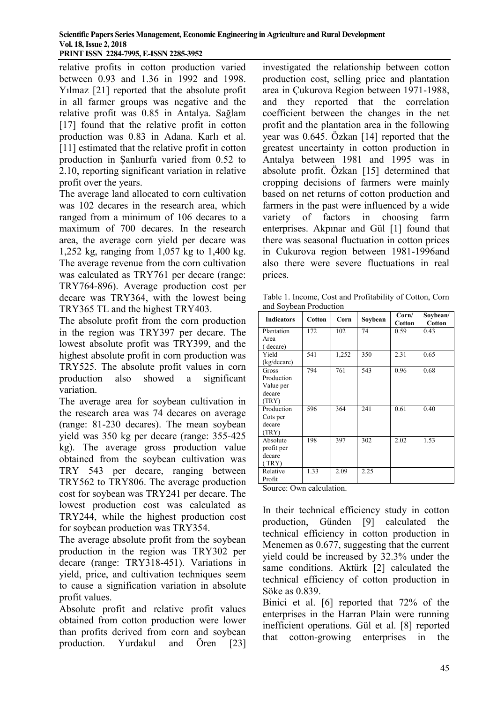relative profits in cotton production varied between 0.93 and 1.36 in 1992 and 1998. Yılmaz [21] reported that the absolute profit in all farmer groups was negative and the relative profit was 0.85 in Antalya. Sağlam [17] found that the relative profit in cotton production was 0.83 in Adana. Karlı et al. [11] estimated that the relative profit in cotton production in Şanlıurfa varied from 0.52 to 2.10, reporting significant variation in relative profit over the years.

The average land allocated to corn cultivation was 102 decares in the research area, which ranged from a minimum of 106 decares to a maximum of 700 decares. In the research area, the average corn yield per decare was 1,252 kg, ranging from 1,057 kg to 1,400 kg. The average revenue from the corn cultivation was calculated as TRY761 per decare (range: TRY764-896). Average production cost per decare was TRY364, with the lowest being TRY365 TL and the highest TRY403.

The absolute profit from the corn production in the region was TRY397 per decare. The lowest absolute profit was TRY399, and the highest absolute profit in corn production was TRY525. The absolute profit values in corn production also showed a significant variation.

The average area for soybean cultivation in the research area was 74 decares on average (range: 81-230 decares). The mean soybean yield was 350 kg per decare (range: 355-425 kg). The average gross production value obtained from the soybean cultivation was TRY 543 per decare, ranging between TRY562 to TRY806. The average production cost for soybean was TRY241 per decare. The lowest production cost was calculated as TRY244, while the highest production cost for soybean production was TRY354.

The average absolute profit from the soybean production in the region was TRY302 per decare (range: TRY318-451). Variations in yield, price, and cultivation techniques seem to cause a signification variation in absolute profit values.

Absolute profit and relative profit values obtained from cotton production were lower than profits derived from corn and soybean production. Yurdakul and Ören [23]

investigated the relationship between cotton production cost, selling price and plantation area in Çukurova Region between 1971-1988, and they reported that the correlation coefficient between the changes in the net profit and the plantation area in the following year was 0.645. Özkan [14] reported that the greatest uncertainty in cotton production in Antalya between 1981 and 1995 was in absolute profit. Özkan [15] determined that cropping decisions of farmers were mainly based on net returns of cotton production and farmers in the past were influenced by a wide variety of factors in choosing farm enterprises. Akpınar and Gül [1] found that there was seasonal fluctuation in cotton prices in Cukurova region between 1981-1996and also there were severe fluctuations in real prices.

Table 1. Income, Cost and Profitability of Cotton, Corn and Soybean Production

| <b>Indicators</b> | Cotton | Corn  | Soybean | Corn/<br>Cotton | Soybean/<br><b>Cotton</b> |  |
|-------------------|--------|-------|---------|-----------------|---------------------------|--|
| Plantation        | 172    | 102   | 74      | 0.59            | 0.43                      |  |
| Area              |        |       |         |                 |                           |  |
| (decare)          |        |       |         |                 |                           |  |
| Yield             | 541    | 1,252 | 350     | 2.31            | 0.65                      |  |
| (kg/decare)       |        |       |         |                 |                           |  |
| Gross             | 794    | 761   | 543     | 0.96            | 0.68                      |  |
| Production        |        |       |         |                 |                           |  |
| Value per         |        |       |         |                 |                           |  |
| decare            |        |       |         |                 |                           |  |
| (TRY)             |        |       |         |                 |                           |  |
| Production        | 596    | 364   | 241     | 0.61            | 0.40                      |  |
| Cots per          |        |       |         |                 |                           |  |
| decare            |        |       |         |                 |                           |  |
| (TRY)             |        |       |         |                 |                           |  |
| Absolute          | 198    | 397   | 302     | 2.02            | 1.53                      |  |
| profit per        |        |       |         |                 |                           |  |
| decare            |        |       |         |                 |                           |  |
| (TRY)             |        |       |         |                 |                           |  |
| Relative          | 1.33   | 2.09  | 2.25    |                 |                           |  |
| Profit            |        |       |         |                 |                           |  |

Source: Own calculation.

In their technical efficiency study in cotton production, Günden [9] calculated the technical efficiency in cotton production in Menemen as 0.677, suggesting that the current yield could be increased by 32.3% under the same conditions. Aktürk [2] calculated the technical efficiency of cotton production in Söke as 0.839.

Binici et al. [6] reported that 72% of the enterprises in the Harran Plain were running inefficient operations. Gül et al. [8] reported that cotton-growing enterprises in the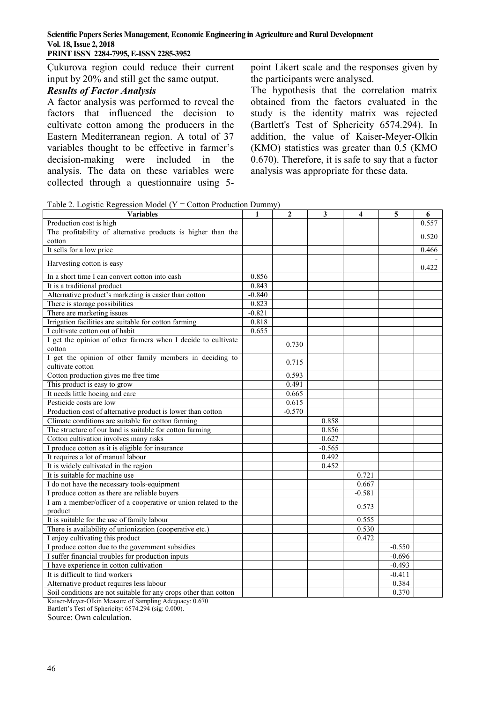Çukurova region could reduce their current input by 20% and still get the same output.

#### *Results of Factor Analysis*

A factor analysis was performed to reveal the factors that influenced the decision to cultivate cotton among the producers in the Eastern Mediterranean region. A total of 37 variables thought to be effective in farmer's decision-making were included in the analysis. The data on these variables were collected through a questionnaire using 5point Likert scale and the responses given by the participants were analysed.

The hypothesis that the correlation matrix obtained from the factors evaluated in the study is the identity matrix was rejected (Bartlett's Test of Sphericity 6574.294). In addition, the value of Kaiser-Meyer-Olkin (KMO) statistics was greater than 0.5 (KMO 0.670). Therefore, it is safe to say that a factor analysis was appropriate for these data.

Table 2. Logistic Regression Model ( $Y =$ Cotton Production Dummy)

| <b>Variables</b>                                                             | $\mathbf{1}$ | $\overline{2}$ | $\mathbf{3}$ | $\overline{\bf{4}}$ | 5        | 6     |
|------------------------------------------------------------------------------|--------------|----------------|--------------|---------------------|----------|-------|
| Production cost is high                                                      |              |                |              |                     |          | 0.557 |
| The profitability of alternative products is higher than the                 |              |                |              |                     |          | 0.520 |
| cotton                                                                       |              |                |              |                     |          |       |
| It sells for a low price                                                     |              |                |              |                     |          | 0.466 |
| Harvesting cotton is easy                                                    |              |                |              |                     |          | 0.422 |
| In a short time I can convert cotton into cash                               | 0.856        |                |              |                     |          |       |
| It is a traditional product                                                  | 0.843        |                |              |                     |          |       |
| Alternative product's marketing is easier than cotton                        | $-0.840$     |                |              |                     |          |       |
| There is storage possibilities                                               | 0.823        |                |              |                     |          |       |
| There are marketing issues                                                   | $-0.821$     |                |              |                     |          |       |
| Irrigation facilities are suitable for cotton farming                        | 0.818        |                |              |                     |          |       |
| I cultivate cotton out of habit                                              | 0.655        |                |              |                     |          |       |
| I get the opinion of other farmers when I decide to cultivate<br>cotton      |              | 0.730          |              |                     |          |       |
| I get the opinion of other family members in deciding to<br>cultivate cotton |              | 0.715          |              |                     |          |       |
| Cotton production gives me free time                                         |              | 0.593          |              |                     |          |       |
| This product is easy to grow                                                 |              | 0.491          |              |                     |          |       |
| It needs little hoeing and care                                              |              | 0.665          |              |                     |          |       |
| Pesticide costs are low                                                      |              | 0.615          |              |                     |          |       |
| Production cost of alternative product is lower than cotton                  |              | $-0.570$       |              |                     |          |       |
| Climate conditions are suitable for cotton farming                           |              |                | 0.858        |                     |          |       |
| The structure of our land is suitable for cotton farming                     |              |                | 0.856        |                     |          |       |
| Cotton cultivation involves many risks                                       |              |                | 0.627        |                     |          |       |
| I produce cotton as it is eligible for insurance                             |              |                | $-0.565$     |                     |          |       |
| It requires a lot of manual labour                                           |              |                | 0.492        |                     |          |       |
| It is widely cultivated in the region                                        |              |                | 0.452        |                     |          |       |
| It is suitable for machine use                                               |              |                |              | 0.721               |          |       |
| I do not have the necessary tools-equipment                                  |              |                |              | 0.667               |          |       |
| I produce cotton as there are reliable buyers                                |              |                |              | $-0.581$            |          |       |
| I am a member/officer of a cooperative or union related to the               |              |                |              |                     |          |       |
| product                                                                      |              |                |              | 0.573               |          |       |
| It is suitable for the use of family labour                                  |              |                |              | 0.555               |          |       |
| There is availability of unionization (cooperative etc.)                     |              |                |              | 0.530               |          |       |
| I enjoy cultivating this product                                             |              |                |              | 0.472               |          |       |
| I produce cotton due to the government subsidies                             |              |                |              |                     | $-0.550$ |       |
| I suffer financial troubles for production inputs                            |              |                |              |                     | $-0.696$ |       |
| I have experience in cotton cultivation                                      |              |                |              |                     | $-0.493$ |       |
| It is difficult to find workers                                              |              |                |              |                     | $-0.411$ |       |
| Alternative product requires less labour                                     |              |                |              |                     | 0.384    |       |
| Soil conditions are not suitable for any crops other than cotton             |              |                |              |                     | 0.370    |       |

Kaiser-Meyer-Olkin Measure of Sampling Adequacy: 0.670

Bartlett's Test of Sphericity: 6574.294 (sig: 0.000).

Source: Own calculation.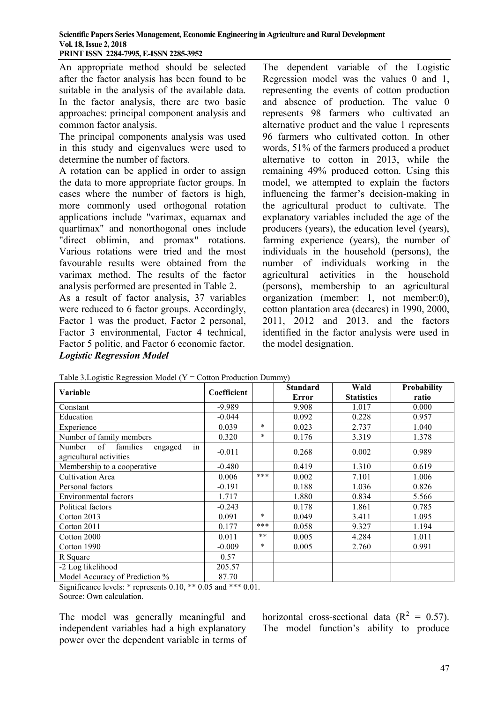An appropriate method should be selected after the factor analysis has been found to be suitable in the analysis of the available data. In the factor analysis, there are two basic approaches: principal component analysis and common factor analysis.

The principal components analysis was used in this study and eigenvalues were used to determine the number of factors.

A rotation can be applied in order to assign the data to more appropriate factor groups. In cases where the number of factors is high, more commonly used orthogonal rotation applications include "varimax, equamax and quartimax" and nonorthogonal ones include "direct oblimin, and promax" rotations. Various rotations were tried and the most favourable results were obtained from the varimax method. The results of the factor analysis performed are presented in Table 2.

As a result of factor analysis, 37 variables were reduced to 6 factor groups. Accordingly, Factor 1 was the product, Factor 2 personal, Factor 3 environmental, Factor 4 technical, Factor 5 politic, and Factor 6 economic factor. *Logistic Regression Model*

The dependent variable of the Logistic Regression model was the values 0 and 1, representing the events of cotton production and absence of production. The value 0 represents 98 farmers who cultivated an alternative product and the value 1 represents 96 farmers who cultivated cotton. In other words, 51% of the farmers produced a product alternative to cotton in 2013, while the remaining 49% produced cotton. Using this model, we attempted to explain the factors influencing the farmer's decision-making in the agricultural product to cultivate. The explanatory variables included the age of the producers (years), the education level (years), farming experience (years), the number of individuals in the household (persons), the number of individuals working in the agricultural activities in the household (persons), membership to an agricultural organization (member: 1, not member:0), cotton plantation area (decares) in 1990, 2000, 2011, 2012 and 2013, and the factors identified in the factor analysis were used in the model designation.

| 1400                                   |             |         |                 |                   |             |  |  |  |
|----------------------------------------|-------------|---------|-----------------|-------------------|-------------|--|--|--|
| Variable                               | Coefficient |         | <b>Standard</b> | Wald              | Probability |  |  |  |
|                                        |             |         | Error           | <b>Statistics</b> | ratio       |  |  |  |
| Constant                               | $-9.989$    |         | 9.908           | 1.017             | 0.000       |  |  |  |
| Education                              | $-0.044$    |         | 0.092           | 0.228             | 0.957       |  |  |  |
| Experience                             | 0.039       | $\star$ | 0.023           | 2.737             | 1.040       |  |  |  |
| Number of family members               | 0.320       | $\star$ | 0.176           | 3.319             | 1.378       |  |  |  |
| in<br>of families<br>Number<br>engaged |             |         |                 |                   |             |  |  |  |
| agricultural activities                | $-0.011$    |         | 0.268           | 0.002             | 0.989       |  |  |  |
| Membership to a cooperative            | $-0.480$    |         | 0.419           | 1.310             | 0.619       |  |  |  |
| <b>Cultivation Area</b>                | 0.006       | ***     | 0.002           | 7.101             | 1.006       |  |  |  |
| Personal factors                       | $-0.191$    |         | 0.188           | 1.036             | 0.826       |  |  |  |
| <b>Environmental factors</b>           | 1.717       |         | 1.880           | 0.834             | 5.566       |  |  |  |
| Political factors                      | $-0.243$    |         | 0.178           | 1.861             | 0.785       |  |  |  |
| Cotton 2013                            | 0.091       | $\ast$  | 0.049           | 3.411             | 1.095       |  |  |  |
| Cotton 2011                            | 0.177       | ***     | 0.058           | 9.327             | 1.194       |  |  |  |
| Cotton 2000                            | 0.011       | $***$   | 0.005           | 4.284             | 1.011       |  |  |  |
| Cotton 1990                            | $-0.009$    | $\ast$  | 0.005           | 2.760             | 0.991       |  |  |  |
| R Square                               | 0.57        |         |                 |                   |             |  |  |  |
| -2 Log likelihood                      | 205.57      |         |                 |                   |             |  |  |  |
| Model Accuracy of Prediction %         | 87.70       |         |                 |                   |             |  |  |  |

Table 3. Logistic Regression Model ( $Y = \text{Cotton Production Dummv}$ )

Significance levels: \* represents 0.10, \*\* 0.05 and \*\*\* 0.01. Source: Own calculation.

The model was generally meaningful and independent variables had a high explanatory power over the dependent variable in terms of horizontal cross-sectional data  $(R^2 = 0.57)$ . The model function's ability to produce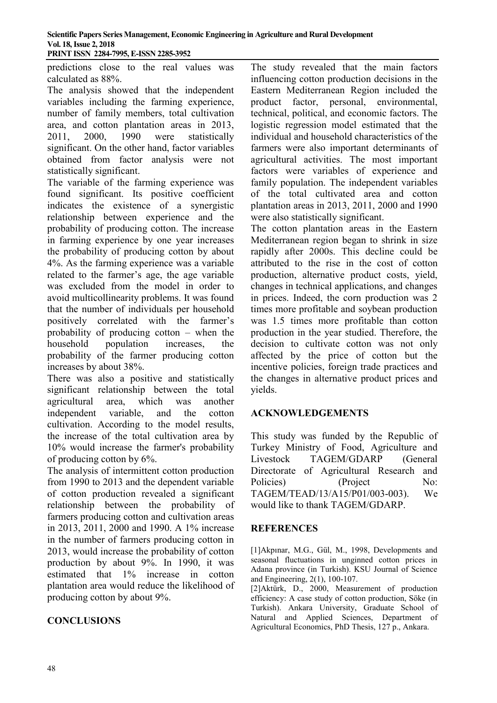**Scientific Papers Series Management, Economic Engineering in Agriculture and Rural Development Vol. 18, Issue 2, 2018 PRINT ISSN 2284-7995, E-ISSN 2285-3952** 

predictions close to the real values was calculated as 88%.

The analysis showed that the independent variables including the farming experience, number of family members, total cultivation area, and cotton plantation areas in 2013, 2011, 2000, 1990 were statistically significant. On the other hand, factor variables obtained from factor analysis were not statistically significant.

The variable of the farming experience was found significant. Its positive coefficient indicates the existence of a synergistic relationship between experience and the probability of producing cotton. The increase in farming experience by one year increases the probability of producing cotton by about 4%. As the farming experience was a variable related to the farmer's age, the age variable was excluded from the model in order to avoid multicollinearity problems. It was found that the number of individuals per household positively correlated with the farmer's probability of producing cotton – when the household population increases, the probability of the farmer producing cotton increases by about 38%.

There was also a positive and statistically significant relationship between the total agricultural area, which was another independent variable, and the cotton cultivation. According to the model results, the increase of the total cultivation area by 10% would increase the farmer's probability of producing cotton by 6%.

The analysis of intermittent cotton production from 1990 to 2013 and the dependent variable of cotton production revealed a significant relationship between the probability of farmers producing cotton and cultivation areas in 2013, 2011, 2000 and 1990. A 1% increase in the number of farmers producing cotton in 2013, would increase the probability of cotton production by about 9%. In 1990, it was estimated that 1% increase in cotton plantation area would reduce the likelihood of producing cotton by about 9%.

# **CONCLUSIONS**

The study revealed that the main factors influencing cotton production decisions in the Eastern Mediterranean Region included the product factor, personal, environmental, technical, political, and economic factors. The logistic regression model estimated that the individual and household characteristics of the farmers were also important determinants of agricultural activities. The most important factors were variables of experience and family population. The independent variables of the total cultivated area and cotton plantation areas in 2013, 2011, 2000 and 1990 were also statistically significant.

The cotton plantation areas in the Eastern Mediterranean region began to shrink in size rapidly after 2000s. This decline could be attributed to the rise in the cost of cotton production, alternative product costs, yield, changes in technical applications, and changes in prices. Indeed, the corn production was 2 times more profitable and soybean production was 1.5 times more profitable than cotton production in the year studied. Therefore, the decision to cultivate cotton was not only affected by the price of cotton but the incentive policies, foreign trade practices and the changes in alternative product prices and yields.

## **ACKNOWLEDGEMENTS**

This study was funded by the Republic of Turkey Ministry of Food, Agriculture and Livestock TAGEM/GDARP (General Directorate of Agricultural Research and Policies) (Project No: TAGEM/TEAD/13/A15/P01/003-003). We would like to thank TAGEM/GDARP.

## **REFERENCES**

[1]Akpınar, M.G., Gül, M., 1998, Developments and seasonal fluctuations in unginned cotton prices in Adana province (in Turkish). KSU Journal of Science and Engineering, 2(1), 100-107.

[2]Aktürk, D., 2000, Measurement of production efficiency: A case study of cotton production, Söke (in Turkish). Ankara University, Graduate School of Natural and Applied Sciences, Department of Agricultural Economics, PhD Thesis, 127 p., Ankara.